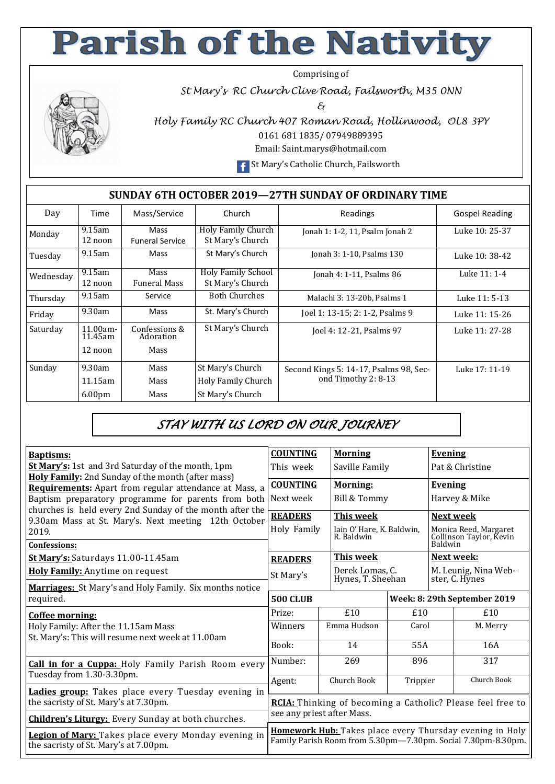## **Parish of the Nativity**

Comprising of

*St Mary's RC Church Clive Road, Failsworth, M35 0NN* 

*&* 



*Holy Family RC Church 407 Roman Road, Hollinwood, OL8 3PY*  0161 681 1835/ 07949889395

Email: Saint.marys@hotmail.com

**F** St Mary's Catholic Church, Failsworth

## **SUNDAY 6TH OCTOBER 2019—27TH SUNDAY OF ORDINARY TIME**

| Day       | Time                                    | Mass/Service                              | Church                                                     | Readings                                                      | <b>Gospel Reading</b> |
|-----------|-----------------------------------------|-------------------------------------------|------------------------------------------------------------|---------------------------------------------------------------|-----------------------|
| Monday    | $9.15$ am<br>12 noon                    | Mass<br><b>Funeral Service</b>            | <b>Holy Family Church</b><br>St Mary's Church              | Jonah 1: 1-2, 11, Psalm Jonah 2                               | Luke 10: 25-37        |
| Tuesday   | $9.15$ am                               | Mass                                      | St Mary's Church                                           | Jonah 3: 1-10, Psalms 130                                     | Luke 10: 38-42        |
| Wednesday | $9.15$ am<br>12 noon                    | Mass<br><b>Funeral Mass</b>               | <b>Holy Family School</b><br>St Mary's Church              | Jonah 4: 1-11, Psalms 86                                      | Luke 11: 1-4          |
| Thursday  | $9.15$ am                               | Service                                   | <b>Both Churches</b>                                       | Malachi 3: 13-20b, Psalms 1                                   | Luke 11: 5-13         |
| Friday    | 9.30am                                  | Mass                                      | St. Mary's Church                                          | Joel 1: 13-15; 2: 1-2, Psalms 9                               | Luke 11: 15-26        |
| Saturday  | $11.00am -$<br>11.45am<br>12 noon       | Confessions &<br>Adoration<br><b>Mass</b> | St Mary's Church                                           | Joel 4: 12-21, Psalms 97                                      | Luke 11: 27-28        |
| Sunday    | 9.30am<br>11.15am<br>6.00 <sub>pm</sub> | <b>Mass</b><br>Mass<br>Mass               | St Mary's Church<br>Holy Family Church<br>St Mary's Church | Second Kings 5: 14-17, Psalms 98, Sec-<br>ond Timothy 2: 8-13 | Luke 17: 11-19        |

## *STAY WITH US LORD ON OUR JOURNEY*

| <b>Baptisms:</b>                                                                                                     | <b>COUNTING</b>                                                                                                          | <b>Morning</b>                          |                                      | <b>Evening</b>                                              |                                        |  |
|----------------------------------------------------------------------------------------------------------------------|--------------------------------------------------------------------------------------------------------------------------|-----------------------------------------|--------------------------------------|-------------------------------------------------------------|----------------------------------------|--|
| <b>St Mary's:</b> 1st and 3rd Saturday of the month, 1pm<br><b>Holy Family:</b> 2nd Sunday of the month (after mass) | This week<br>Saville Family                                                                                              |                                         |                                      | Pat & Christine                                             |                                        |  |
| Requirements: Apart from regular attendance at Mass, a                                                               | <b>COUNTING</b><br><b>Morning:</b>                                                                                       |                                         |                                      | <b>Evening</b>                                              |                                        |  |
| Baptism preparatory programme for parents from both<br>churches is held every 2nd Sunday of the month after the      | Bill & Tommy<br>Next week                                                                                                |                                         |                                      |                                                             | Harvey & Mike                          |  |
| 9.30am Mass at St. Mary's. Next meeting 12th October                                                                 | <b>READERS</b><br><b>This week</b>                                                                                       |                                         |                                      | <b>Next week</b>                                            |                                        |  |
| 2019.                                                                                                                | Holy Family                                                                                                              | Iain O' Hare, K. Baldwin,<br>R. Baldwin |                                      | Monica Reed, Margaret<br>Collinson Taylor, Kevin<br>Baldwin |                                        |  |
| <b>Confessions:</b>                                                                                                  |                                                                                                                          |                                         |                                      |                                                             |                                        |  |
| St Mary's: Saturdays 11.00-11.45am                                                                                   | <b>READERS</b>                                                                                                           |                                         | <b>This week</b>                     |                                                             | Next week:                             |  |
| Holy Family: Anytime on request                                                                                      | St Mary's                                                                                                                |                                         | Derek Lomas, C.<br>Hynes, T. Sheehan |                                                             | M. Leunig, Nina Web-<br>ster, C. Hynes |  |
| Marriages: St Mary's and Holy Family. Six months notice                                                              |                                                                                                                          |                                         |                                      |                                                             |                                        |  |
| required.                                                                                                            | <b>500 CLUB</b>                                                                                                          |                                         |                                      |                                                             | Week: 8: 29th September 2019           |  |
| Coffee morning:                                                                                                      | Prize:                                                                                                                   | £10                                     | £10                                  |                                                             | £10                                    |  |
| Holy Family: After the 11.15am Mass<br>St. Mary's: This will resume next week at 11.00am                             | Winners                                                                                                                  | Emma Hudson                             | Carol                                |                                                             | M. Merry                               |  |
|                                                                                                                      | Book:                                                                                                                    | 14                                      | 55A                                  |                                                             | 16A                                    |  |
| <b>Call in for a Cuppa:</b> Holy Family Parish Room every<br>Tuesday from 1.30-3.30pm.                               | Number:                                                                                                                  | 269                                     | 896                                  |                                                             | 317                                    |  |
|                                                                                                                      | Agent:                                                                                                                   | Church Book                             | Trippier                             |                                                             | Church Book                            |  |
| <b>Ladies group:</b> Takes place every Tuesday evening in<br>the sacristy of St. Mary's at 7.30pm.                   | RCIA: Thinking of becoming a Catholic? Please feel free to                                                               |                                         |                                      |                                                             |                                        |  |
| <b>Children's Liturgy:</b> Every Sunday at both churches.                                                            | see any priest after Mass.                                                                                               |                                         |                                      |                                                             |                                        |  |
| <b>Legion of Mary:</b> Takes place every Monday evening in<br>the sacristy of St. Mary's at 7.00pm.                  | Homework Hub: Takes place every Thursday evening in Holy<br>Family Parish Room from 5.30pm-7.30pm. Social 7.30pm-8.30pm. |                                         |                                      |                                                             |                                        |  |